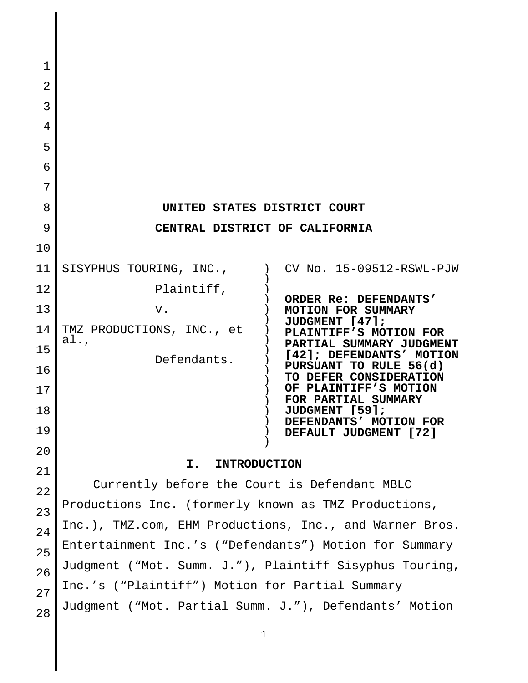| 1  |                                                                                         |
|----|-----------------------------------------------------------------------------------------|
| 2  |                                                                                         |
| 3  |                                                                                         |
| 4  |                                                                                         |
| 5  |                                                                                         |
| 6  |                                                                                         |
| 7  |                                                                                         |
| 8  | UNITED STATES DISTRICT COURT                                                            |
| 9  | CENTRAL DISTRICT OF CALIFORNIA                                                          |
| 10 |                                                                                         |
| 11 | CV No. 15-09512-RSWL-PJW<br>SISYPHUS TOURING, INC.,                                     |
| 12 | Plaintiff,<br>ORDER Re: DEFENDANTS'                                                     |
| 13 | V.<br><b>MOTION FOR SUMMARY</b><br>JUDGMENT [47];                                       |
| 14 | TMZ PRODUCTIONS, INC., et<br>PLAINTIFF'S MOTION FOR<br>al.,<br>PARTIAL SUMMARY JUDGMENT |
| 15 | [42]; DEFENDANTS' MOTION<br>Defendants.                                                 |
| 16 | PURSUANT TO RULE 56(d)<br>TO DEFER CONSIDERATION                                        |
| 17 | OF PLAINTIFF'S MOTION<br>FOR PARTIAL SUMMARY                                            |
| 18 | JUDGMENT [59];<br>DEFENDANTS' MOTION FOR                                                |
| 19 | DEFAULT JUDGMENT [72]                                                                   |
| 20 | <b>INTRODUCTION</b><br>I.                                                               |
| 21 | Currently before the Court is Defendant MBLC                                            |
| 22 | Productions Inc. (formerly known as TMZ Productions,                                    |
| 23 | Inc.), TMZ.com, EHM Productions, Inc., and Warner Bros.                                 |
| 24 | Entertainment Inc.'s ("Defendants") Motion for Summary                                  |
| 25 | Judgment ("Mot. Summ. J."), Plaintiff Sisyphus Touring,                                 |
| 26 |                                                                                         |

Inc.'s ("Plaintiff") Motion for Partial Summary

27

28 Judgment ("Mot. Partial Summ. J."), Defendants' Motion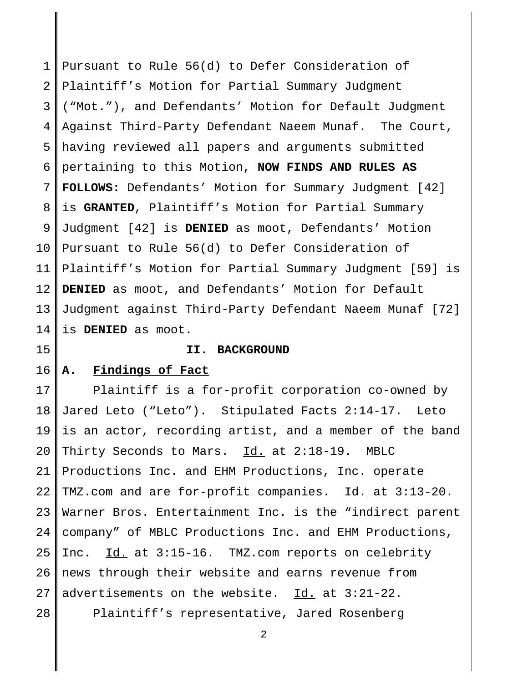1 2 3 4 5 6 7 8 9 10 11 12 13 14 Pursuant to Rule 56(d) to Defer Consideration of Plaintiff's Motion for Partial Summary Judgment ("Mot."), and Defendants' Motion for Default Judgment Against Third-Party Defendant Naeem Munaf. The Court, having reviewed all papers and arguments submitted pertaining to this Motion, **NOW FINDS AND RULES AS FOLLOWS:** Defendants' Motion for Summary Judgment [42] is **GRANTED**, Plaintiff's Motion for Partial Summary Judgment [42] is **DENIED** as moot, Defendants' Motion Pursuant to Rule 56(d) to Defer Consideration of Plaintiff's Motion for Partial Summary Judgment [59] is **DENIED** as moot, and Defendants' Motion for Default Judgment against Third-Party Defendant Naeem Munaf [72] is **DENIED** as moot.

15

## **II. BACKGROUND**

#### 16 **A. Findings of Fact**

17 18 19 20 21 22 23 24 25 26 27 28 Plaintiff is a for-profit corporation co-owned by Jared Leto ("Leto"). Stipulated Facts 2:14-17. Leto is an actor, recording artist, and a member of the band Thirty Seconds to Mars. Id. at 2:18-19. MBLC Productions Inc. and EHM Productions, Inc. operate TMZ.com and are for-profit companies. Id. at 3:13-20. Warner Bros. Entertainment Inc. is the "indirect parent company" of MBLC Productions Inc. and EHM Productions, Inc. Id. at 3:15-16. TMZ.com reports on celebrity news through their website and earns revenue from advertisements on the website. Id. at 3:21-22. Plaintiff's representative, Jared Rosenberg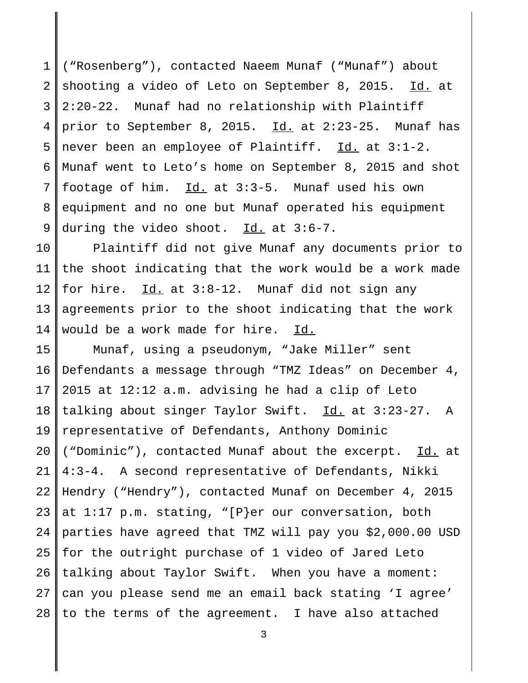1 2 3 4 5 6 7 8 9 ("Rosenberg"), contacted Naeem Munaf ("Munaf") about shooting a video of Leto on September 8, 2015. Id. at 2:20-22. Munaf had no relationship with Plaintiff prior to September 8, 2015.  $\underline{Id.}$  at 2:23-25. Munaf has never been an employee of Plaintiff. Id. at 3:1-2. Munaf went to Leto's home on September 8, 2015 and shot footage of him.  $Id.$  at  $3:3-5.$  Munaf used his own equipment and no one but Munaf operated his equipment during the video shoot. Id. at 3:6-7.

10 11 12 13 14 Plaintiff did not give Munaf any documents prior to the shoot indicating that the work would be a work made for hire. Id. at 3:8-12. Munaf did not sign any agreements prior to the shoot indicating that the work would be a work made for hire. Id.

15 16 17 18 19 20 21 22 23 24 25 26 27 28 Munaf, using a pseudonym, "Jake Miller" sent Defendants a message through "TMZ Ideas" on December 4, 2015 at 12:12 a.m. advising he had a clip of Leto talking about singer Taylor Swift. Id. at 3:23-27. A representative of Defendants, Anthony Dominic ("Dominic"), contacted Munaf about the excerpt. Id. at 4:3-4. A second representative of Defendants, Nikki Hendry ("Hendry"), contacted Munaf on December 4, 2015 at 1:17 p.m. stating, "[P}er our conversation, both parties have agreed that TMZ will pay you \$2,000.00 USD for the outright purchase of 1 video of Jared Leto talking about Taylor Swift. When you have a moment: can you please send me an email back stating 'I agree' to the terms of the agreement. I have also attached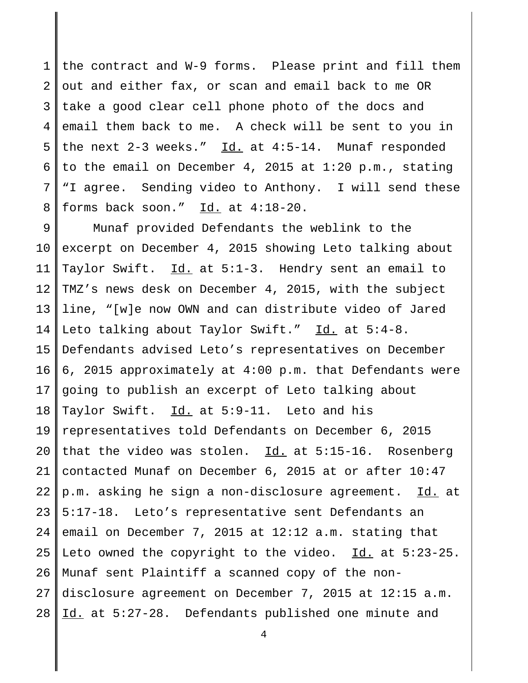1 2 3 4 5 6 7 8 the contract and W-9 forms. Please print and fill them out and either fax, or scan and email back to me OR take a good clear cell phone photo of the docs and email them back to me. A check will be sent to you in the next  $2-3$  weeks." Id. at  $4:5-14$ . Munaf responded to the email on December 4, 2015 at 1:20 p.m., stating "I agree. Sending video to Anthony. I will send these forms back soon." Id. at 4:18-20.

9 10 11 12 13 14 15 16 17 18 19 20 21 22 23  $2.4$ 25 26 27 28 Munaf provided Defendants the weblink to the excerpt on December 4, 2015 showing Leto talking about Taylor Swift. Id. at 5:1-3. Hendry sent an email to TMZ's news desk on December 4, 2015, with the subject line, "[w]e now OWN and can distribute video of Jared Leto talking about Taylor Swift." Id. at 5:4-8. Defendants advised Leto's representatives on December 6, 2015 approximately at 4:00 p.m. that Defendants were going to publish an excerpt of Leto talking about Taylor Swift. Id. at 5:9-11. Leto and his representatives told Defendants on December 6, 2015 that the video was stolen. Id. at 5:15-16. Rosenberg contacted Munaf on December 6, 2015 at or after 10:47 p.m. asking he sign a non-disclosure agreement. Id. at 5:17-18. Leto's representative sent Defendants an email on December 7, 2015 at 12:12 a.m. stating that Leto owned the copyright to the video. Id. at 5:23-25. Munaf sent Plaintiff a scanned copy of the nondisclosure agreement on December 7, 2015 at 12:15 a.m. Id. at 5:27-28. Defendants published one minute and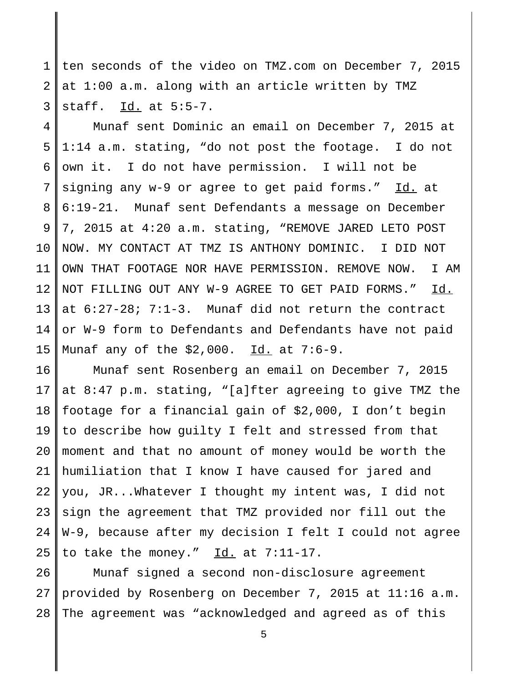1 2 3 ten seconds of the video on TMZ.com on December 7, 2015 at 1:00 a.m. along with an article written by TMZ staff. Id. at 5:5-7.

4 5 6 7 8 9 10 11 12 13 14 15 Munaf sent Dominic an email on December 7, 2015 at 1:14 a.m. stating, "do not post the footage. I do not own it. I do not have permission. I will not be signing any w-9 or agree to get paid forms." Id. at 6:19-21. Munaf sent Defendants a message on December 7, 2015 at 4:20 a.m. stating, "REMOVE JARED LETO POST NOW. MY CONTACT AT TMZ IS ANTHONY DOMINIC. I DID NOT OWN THAT FOOTAGE NOR HAVE PERMISSION. REMOVE NOW. I AM NOT FILLING OUT ANY W-9 AGREE TO GET PAID FORMS." Id. at 6:27-28; 7:1-3. Munaf did not return the contract or W-9 form to Defendants and Defendants have not paid Munaf any of the \$2,000. Id. at 7:6-9.

16 17 18 19 20 21 22 23 24 25 Munaf sent Rosenberg an email on December 7, 2015 at 8:47 p.m. stating, "[a]fter agreeing to give TMZ the footage for a financial gain of \$2,000, I don't begin to describe how guilty I felt and stressed from that moment and that no amount of money would be worth the humiliation that I know I have caused for jared and you, JR...Whatever I thought my intent was, I did not sign the agreement that TMZ provided nor fill out the W-9, because after my decision I felt I could not agree to take the money." Id. at 7:11-17.

26 27 28 Munaf signed a second non-disclosure agreement provided by Rosenberg on December 7, 2015 at 11:16 a.m. The agreement was "acknowledged and agreed as of this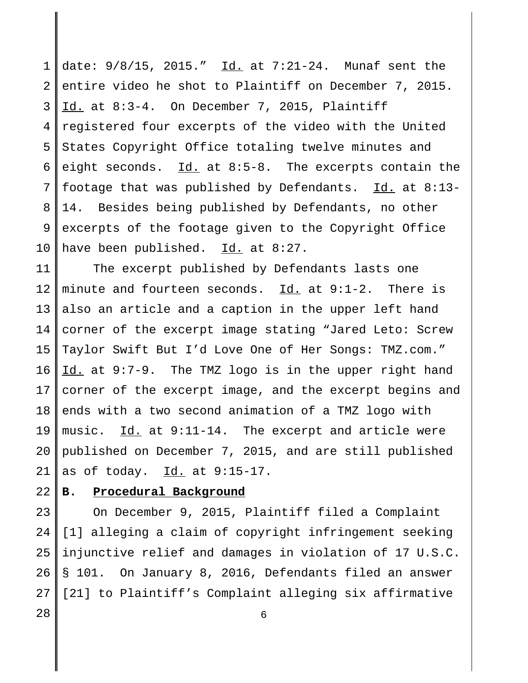1 2 3 4 5 6 7 8 9 10 date:  $9/8/15$ , 2015." Id. at  $7:21-24$ . Munaf sent the entire video he shot to Plaintiff on December 7, 2015. Id. at 8:3-4. On December 7, 2015, Plaintiff registered four excerpts of the video with the United States Copyright Office totaling twelve minutes and eight seconds. Id. at 8:5-8. The excerpts contain the footage that was published by Defendants.  $Id.$  at 8:13-14. Besides being published by Defendants, no other excerpts of the footage given to the Copyright Office have been published. Id. at 8:27.

11 12 13 14 15 16 17 18 19 20 21 The excerpt published by Defendants lasts one minute and fourteen seconds. Id. at 9:1-2. There is also an article and a caption in the upper left hand corner of the excerpt image stating "Jared Leto: Screw Taylor Swift But I'd Love One of Her Songs: TMZ.com." Id. at 9:7-9. The TMZ logo is in the upper right hand corner of the excerpt image, and the excerpt begins and ends with a two second animation of a TMZ logo with music. Id. at 9:11-14. The excerpt and article were published on December 7, 2015, and are still published as of today.  $Id.$  at  $9:15-17.$ 

22 **B. Procedural Background**

23 24 25 26 27 On December 9, 2015, Plaintiff filed a Complaint [1] alleging a claim of copyright infringement seeking injunctive relief and damages in violation of 17 U.S.C. § 101. On January 8, 2016, Defendants filed an answer [21] to Plaintiff's Complaint alleging six affirmative

6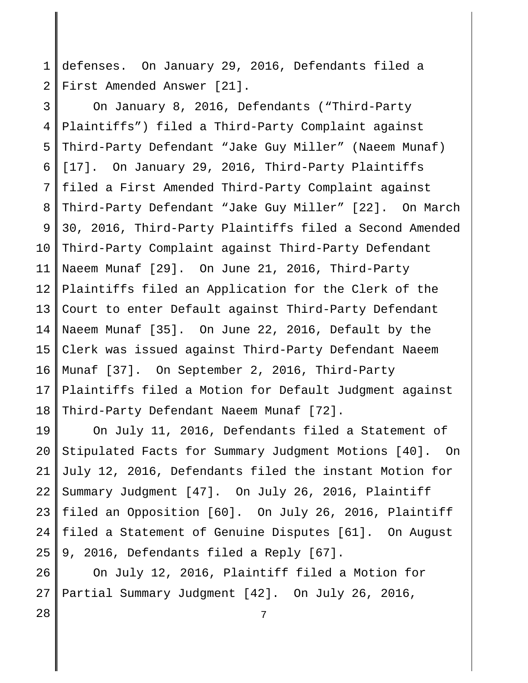1 2 defenses. On January 29, 2016, Defendants filed a First Amended Answer [21].

3 4 5 6 7 8 9 10 11 12 13 14 15 16 17 18 On January 8, 2016, Defendants ("Third-Party Plaintiffs") filed a Third-Party Complaint against Third-Party Defendant "Jake Guy Miller" (Naeem Munaf) [17]. On January 29, 2016, Third-Party Plaintiffs filed a First Amended Third-Party Complaint against Third-Party Defendant "Jake Guy Miller" [22]. On March 30, 2016, Third-Party Plaintiffs filed a Second Amended Third-Party Complaint against Third-Party Defendant Naeem Munaf [29]. On June 21, 2016, Third-Party Plaintiffs filed an Application for the Clerk of the Court to enter Default against Third-Party Defendant Naeem Munaf [35]. On June 22, 2016, Default by the Clerk was issued against Third-Party Defendant Naeem Munaf [37]. On September 2, 2016, Third-Party Plaintiffs filed a Motion for Default Judgment against Third-Party Defendant Naeem Munaf [72].

19 20 21 22 23 24 25 On July 11, 2016, Defendants filed a Statement of Stipulated Facts for Summary Judgment Motions [40]. On July 12, 2016, Defendants filed the instant Motion for Summary Judgment [47]. On July 26, 2016, Plaintiff filed an Opposition [60]. On July 26, 2016, Plaintiff filed a Statement of Genuine Disputes [61]. On August 9, 2016, Defendants filed a Reply [67].

26 27 On July 12, 2016, Plaintiff filed a Motion for Partial Summary Judgment [42]. On July 26, 2016,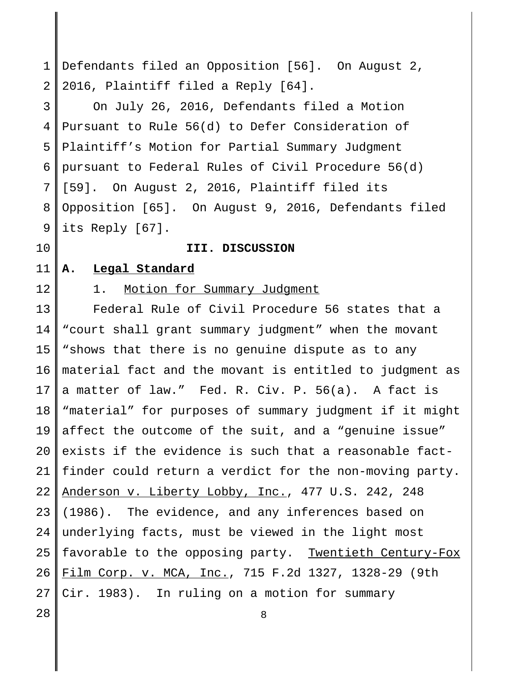1 2 Defendants filed an Opposition [56]. On August 2, 2016, Plaintiff filed a Reply [64].

3 4 5 6 7 8 9 On July 26, 2016, Defendants filed a Motion Pursuant to Rule 56(d) to Defer Consideration of Plaintiff's Motion for Partial Summary Judgment pursuant to Federal Rules of Civil Procedure 56(d) [59]. On August 2, 2016, Plaintiff filed its Opposition [65]. On August 9, 2016, Defendants filed its Reply [67].

10

### **III. DISCUSSION**

11 12

## 1. Motion for Summary Judgment

**A. Legal Standard**

13 14 15 16 17 18 19 20 21 22 23 24 25 26 27 Federal Rule of Civil Procedure 56 states that a "court shall grant summary judgment" when the movant "shows that there is no genuine dispute as to any material fact and the movant is entitled to judgment as a matter of law." Fed. R. Civ. P. 56(a). A fact is "material" for purposes of summary judgment if it might affect the outcome of the suit, and a "genuine issue" exists if the evidence is such that a reasonable factfinder could return a verdict for the non-moving party. Anderson v. Liberty Lobby, Inc., 477 U.S. 242, 248 (1986). The evidence, and any inferences based on underlying facts, must be viewed in the light most favorable to the opposing party. Twentieth Century-Fox Film Corp. v. MCA, Inc., 715 F.2d 1327, 1328-29 (9th Cir. 1983). In ruling on a motion for summary

8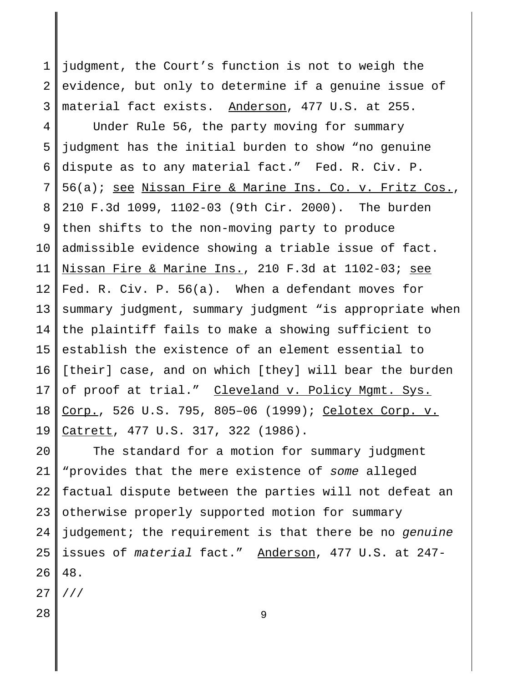1 2 3 judgment, the Court's function is not to weigh the evidence, but only to determine if a genuine issue of material fact exists. Anderson, 477 U.S. at 255.

4 5 6 7 8 9 10 11 12 13 14 15 16 17 18 19 Under Rule 56, the party moving for summary judgment has the initial burden to show "no genuine dispute as to any material fact." Fed. R. Civ. P. 56(a); see Nissan Fire & Marine Ins. Co. v. Fritz Cos., 210 F.3d 1099, 1102-03 (9th Cir. 2000). The burden then shifts to the non-moving party to produce admissible evidence showing a triable issue of fact. Nissan Fire & Marine Ins., 210 F.3d at 1102-03; see Fed. R. Civ. P. 56(a). When a defendant moves for summary judgment, summary judgment "is appropriate when the plaintiff fails to make a showing sufficient to establish the existence of an element essential to [their] case, and on which [they] will bear the burden of proof at trial." Cleveland v. Policy Mgmt. Sys. Corp., 526 U.S. 795, 805–06 (1999); Celotex Corp. v. Catrett, 477 U.S. 317, 322 (1986).

20 21 22 23 24 25 26 The standard for a motion for summary judgment "provides that the mere existence of *some* alleged factual dispute between the parties will not defeat an otherwise properly supported motion for summary judgement; the requirement is that there be no *genuine* issues of *material* fact." Anderson, 477 U.S. at 247- 48.

- 27 ///
- 28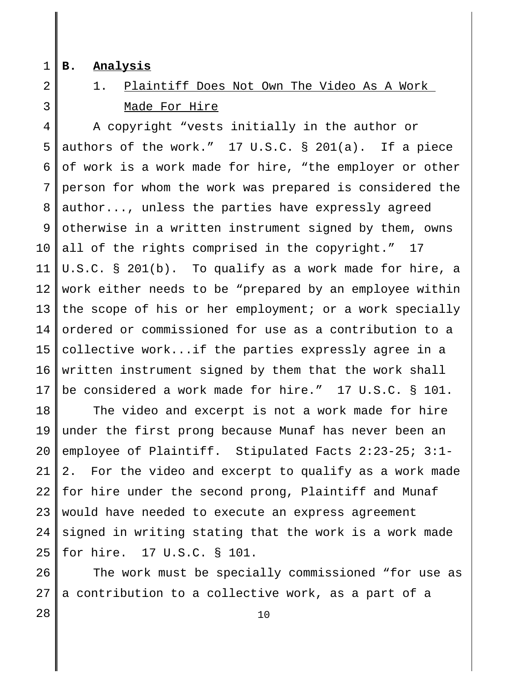#### 1 **B. Analysis**

2 3

# 1. Plaintiff Does Not Own The Video As A Work Made For Hire

4 5 6 7 8 9 10 11 12 13 14 15 16 17 A copyright "vests initially in the author or authors of the work." 17 U.S.C. § 201(a). If a piece of work is a work made for hire, "the employer or other person for whom the work was prepared is considered the author..., unless the parties have expressly agreed otherwise in a written instrument signed by them, owns all of the rights comprised in the copyright." 17 U.S.C. § 201(b). To qualify as a work made for hire, a work either needs to be "prepared by an employee within the scope of his or her employment; or a work specially ordered or commissioned for use as a contribution to a collective work...if the parties expressly agree in a written instrument signed by them that the work shall be considered a work made for hire." 17 U.S.C. § 101.

18 19 20 21 22 23 24 25 The video and excerpt is not a work made for hire under the first prong because Munaf has never been an employee of Plaintiff. Stipulated Facts 2:23-25; 3:1- 2. For the video and excerpt to qualify as a work made for hire under the second prong, Plaintiff and Munaf would have needed to execute an express agreement signed in writing stating that the work is a work made for hire. 17 U.S.C. § 101.

26 27 The work must be specially commissioned "for use as a contribution to a collective work, as a part of a

10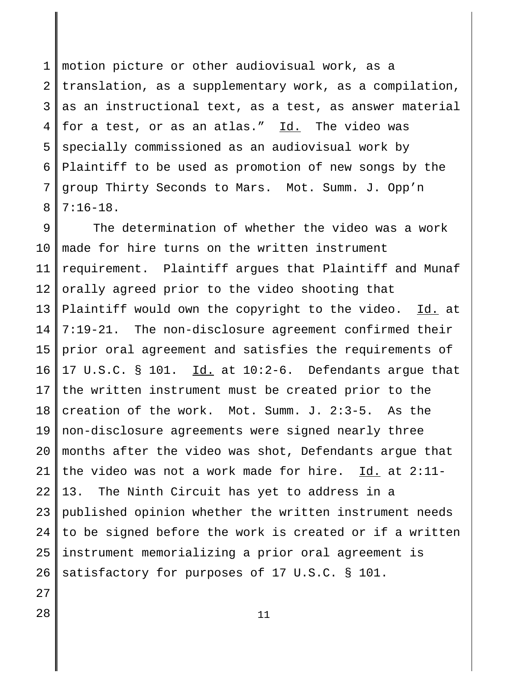1 2 3 4 5 6 7 8 motion picture or other audiovisual work, as a translation, as a supplementary work, as a compilation, as an instructional text, as a test, as answer material for a test, or as an atlas."  $Id.$  The video was specially commissioned as an audiovisual work by Plaintiff to be used as promotion of new songs by the group Thirty Seconds to Mars. Mot. Summ. J. Opp'n 7:16-18.

9 10 11 12 13 14 15 16 17 18 19 20 21 22 23 24 25 26 The determination of whether the video was a work made for hire turns on the written instrument requirement. Plaintiff argues that Plaintiff and Munaf orally agreed prior to the video shooting that Plaintiff would own the copyright to the video. Id. at 7:19-21. The non-disclosure agreement confirmed their prior oral agreement and satisfies the requirements of 17 U.S.C. § 101. Id. at 10:2-6. Defendants argue that the written instrument must be created prior to the creation of the work. Mot. Summ. J. 2:3-5. As the non-disclosure agreements were signed nearly three months after the video was shot, Defendants argue that the video was not a work made for hire. Id. at 2:11- 13. The Ninth Circuit has yet to address in a published opinion whether the written instrument needs to be signed before the work is created or if a written instrument memorializing a prior oral agreement is satisfactory for purposes of 17 U.S.C. § 101.

- 27
- 28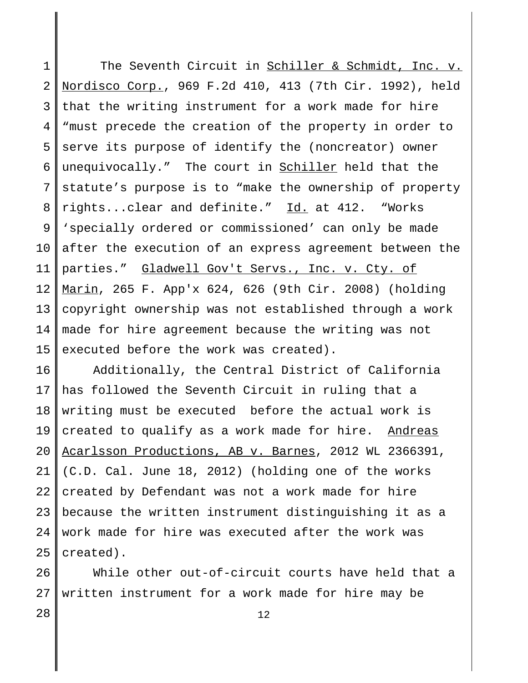1 2 3 4 5 6 7 8 9 10 11 12 13 14 15 The Seventh Circuit in Schiller & Schmidt, Inc. v. Nordisco Corp., 969 F.2d 410, 413 (7th Cir. 1992), held that the writing instrument for a work made for hire "must precede the creation of the property in order to serve its purpose of identify the (noncreator) owner unequivocally." The court in Schiller held that the statute's purpose is to "make the ownership of property rights...clear and definite." Id. at 412. "Works 'specially ordered or commissioned' can only be made after the execution of an express agreement between the parties." Gladwell Gov't Servs., Inc. v. Cty. of Marin, 265 F. App'x 624, 626 (9th Cir. 2008) (holding copyright ownership was not established through a work made for hire agreement because the writing was not executed before the work was created).

16 17 18 19 20 21 22 23 24 25 Additionally, the Central District of California has followed the Seventh Circuit in ruling that a writing must be executed before the actual work is created to qualify as a work made for hire. Andreas Acarlsson Productions, AB v. Barnes, 2012 WL 2366391, (C.D. Cal. June 18, 2012) (holding one of the works created by Defendant was not a work made for hire because the written instrument distinguishing it as a work made for hire was executed after the work was created).

26 27 While other out-of-circuit courts have held that a written instrument for a work made for hire may be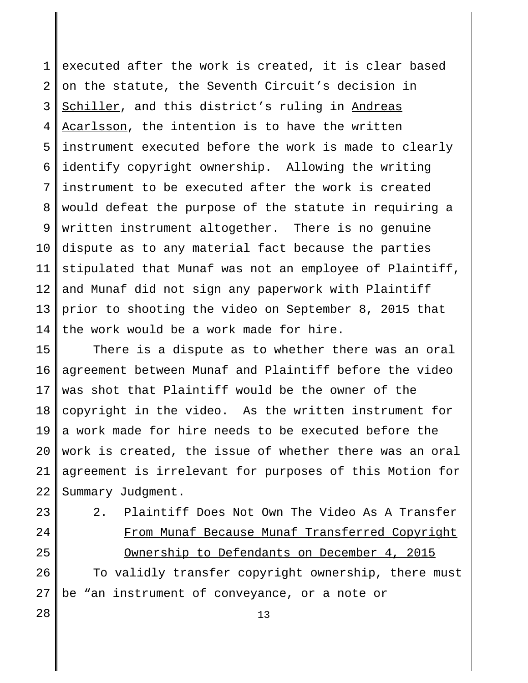1 2 3 4 5 6 7 8 9 10 11 12 13 14 executed after the work is created, it is clear based on the statute, the Seventh Circuit's decision in Schiller, and this district's ruling in Andreas Acarlsson, the intention is to have the written instrument executed before the work is made to clearly identify copyright ownership. Allowing the writing instrument to be executed after the work is created would defeat the purpose of the statute in requiring a written instrument altogether. There is no genuine dispute as to any material fact because the parties stipulated that Munaf was not an employee of Plaintiff, and Munaf did not sign any paperwork with Plaintiff prior to shooting the video on September 8, 2015 that the work would be a work made for hire.

15 16 17 18 19 20 21 22 There is a dispute as to whether there was an oral agreement between Munaf and Plaintiff before the video was shot that Plaintiff would be the owner of the copyright in the video. As the written instrument for a work made for hire needs to be executed before the work is created, the issue of whether there was an oral agreement is irrelevant for purposes of this Motion for Summary Judgment.

23 24

25

2. Plaintiff Does Not Own The Video As A Transfer From Munaf Because Munaf Transferred Copyright Ownership to Defendants on December 4, 2015

26 27 To validly transfer copyright ownership, there must be "an instrument of conveyance, or a note or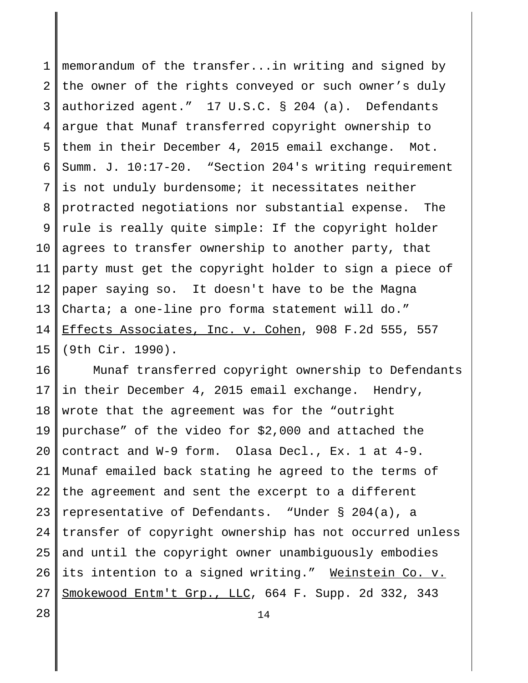1 2 3 4 5 6 7 8 9 10 11 12 13 14 15 memorandum of the transfer...in writing and signed by the owner of the rights conveyed or such owner's duly authorized agent." 17 U.S.C. § 204 (a). Defendants argue that Munaf transferred copyright ownership to them in their December 4, 2015 email exchange. Mot. Summ. J. 10:17-20. "Section 204's writing requirement is not unduly burdensome; it necessitates neither protracted negotiations nor substantial expense. The rule is really quite simple: If the copyright holder agrees to transfer ownership to another party, that party must get the copyright holder to sign a piece of paper saying so. It doesn't have to be the Magna Charta; a one-line pro forma statement will do." Effects Associates, Inc. v. Cohen, 908 F.2d 555, 557 (9th Cir. 1990).

16 17 18 19 20 21 22 23 24 25 26 27 Munaf transferred copyright ownership to Defendants in their December 4, 2015 email exchange. Hendry, wrote that the agreement was for the "outright purchase" of the video for \$2,000 and attached the contract and W-9 form. Olasa Decl., Ex. 1 at 4-9. Munaf emailed back stating he agreed to the terms of the agreement and sent the excerpt to a different representative of Defendants. "Under § 204(a), a transfer of copyright ownership has not occurred unless and until the copyright owner unambiguously embodies its intention to a signed writing." Weinstein Co. v. Smokewood Entm't Grp., LLC, 664 F. Supp. 2d 332, 343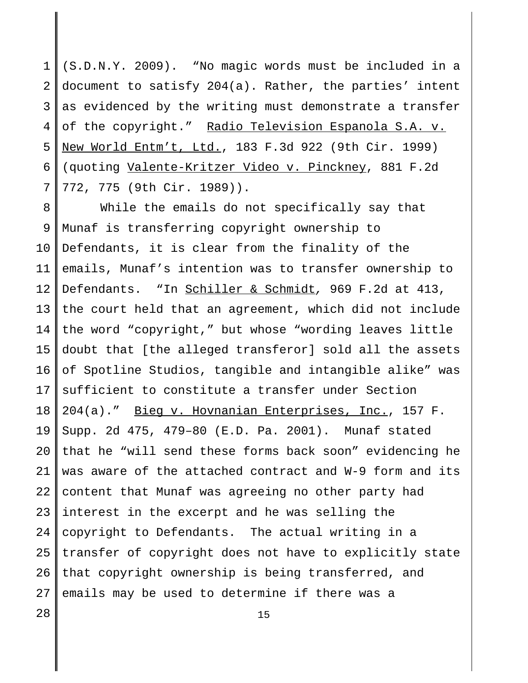1 2 3 4 5 6 7 (S.D.N.Y. 2009). "No magic words must be included in a document to satisfy 204(a). Rather, the parties' intent as evidenced by the writing must demonstrate a transfer of the copyright." Radio Television Espanola S.A. v. New World Entm't, Ltd., 183 F.3d 922 (9th Cir. 1999) (quoting Valente-Kritzer Video v. Pinckney, 881 F.2d 772, 775 (9th Cir. 1989)).

8 9 10 11 12 13 14 15 16 17 18 19 20 21 22 23 24 25 26 27 While the emails do not specifically say that Munaf is transferring copyright ownership to Defendants, it is clear from the finality of the emails, Munaf's intention was to transfer ownership to Defendants. "In Schiller & Schmidt*,* 969 F.2d at 413, the court held that an agreement, which did not include the word "copyright," but whose "wording leaves little doubt that [the alleged transferor] sold all the assets of Spotline Studios, tangible and intangible alike" was sufficient to constitute a transfer under Section 204(a)." Bieg v. Hovnanian Enterprises, Inc., 157 F. Supp. 2d 475, 479–80 (E.D. Pa. 2001). Munaf stated that he "will send these forms back soon" evidencing he was aware of the attached contract and W-9 form and its content that Munaf was agreeing no other party had interest in the excerpt and he was selling the copyright to Defendants. The actual writing in a transfer of copyright does not have to explicitly state that copyright ownership is being transferred, and emails may be used to determine if there was a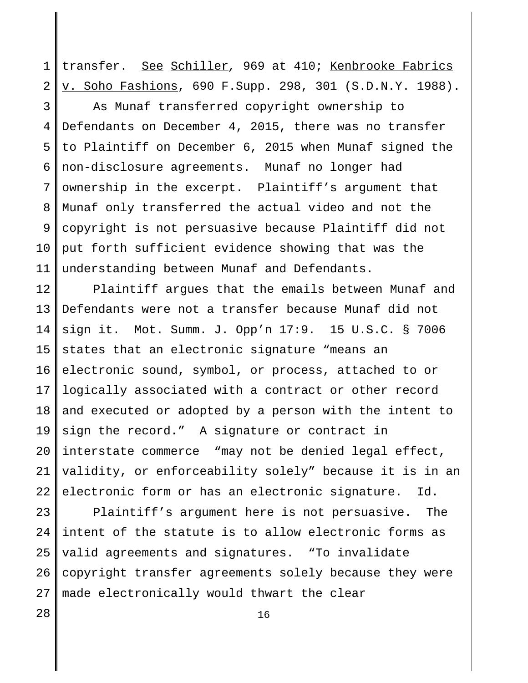1 2 transfer. See Schiller*,* 969 at 410; Kenbrooke Fabrics v. Soho Fashions, 690 F.Supp. 298, 301 (S.D.N.Y. 1988).

3 4 5 6 7 8 9 10 11 As Munaf transferred copyright ownership to Defendants on December 4, 2015, there was no transfer to Plaintiff on December 6, 2015 when Munaf signed the non-disclosure agreements. Munaf no longer had ownership in the excerpt. Plaintiff's argument that Munaf only transferred the actual video and not the copyright is not persuasive because Plaintiff did not put forth sufficient evidence showing that was the understanding between Munaf and Defendants.

12 13 14 15 16 17 18 19 20 21  $2.2<sub>2</sub>$ Plaintiff argues that the emails between Munaf and Defendants were not a transfer because Munaf did not sign it. Mot. Summ. J. Opp'n 17:9. 15 U.S.C. § 7006 states that an electronic signature "means an electronic sound, symbol, or process, attached to or logically associated with a contract or other record and executed or adopted by a person with the intent to sign the record." A signature or contract in interstate commerce "may not be denied legal effect, validity, or enforceability solely" because it is in an electronic form or has an electronic signature. Id.

23 24 25 26 27 Plaintiff's argument here is not persuasive. The intent of the statute is to allow electronic forms as valid agreements and signatures. "To invalidate copyright transfer agreements solely because they were made electronically would thwart the clear

16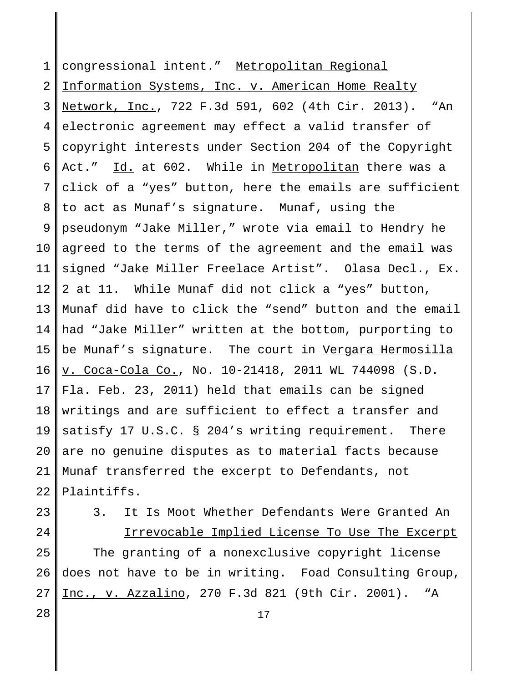1 2 3 4 5 6 7 8 9 10 11 12 13 14 15 16 17 18 19 20 21 22 congressional intent." Metropolitan Regional Information Systems, Inc. v. American Home Realty Network, Inc., 722 F.3d 591, 602 (4th Cir. 2013). "An electronic agreement may effect a valid transfer of copyright interests under Section 204 of the Copyright Act." Id. at 602. While in Metropolitan there was a click of a "yes" button, here the emails are sufficient to act as Munaf's signature. Munaf, using the pseudonym "Jake Miller," wrote via email to Hendry he agreed to the terms of the agreement and the email was signed "Jake Miller Freelace Artist". Olasa Decl., Ex. 2 at 11. While Munaf did not click a "yes" button, Munaf did have to click the "send" button and the email had "Jake Miller" written at the bottom, purporting to be Munaf's signature. The court in Vergara Hermosilla v. Coca-Cola Co., No. 10-21418, 2011 WL 744098 (S.D. Fla. Feb. 23, 2011) held that emails can be signed writings and are sufficient to effect a transfer and satisfy 17 U.S.C. § 204's writing requirement. There are no genuine disputes as to material facts because Munaf transferred the excerpt to Defendants, not Plaintiffs.

23

24

3. It Is Moot Whether Defendants Were Granted An Irrevocable Implied License To Use The Excerpt

25 26 27 The granting of a nonexclusive copyright license does not have to be in writing. Foad Consulting Group, Inc., v. Azzalino, 270 F.3d 821 (9th Cir. 2001). "A

17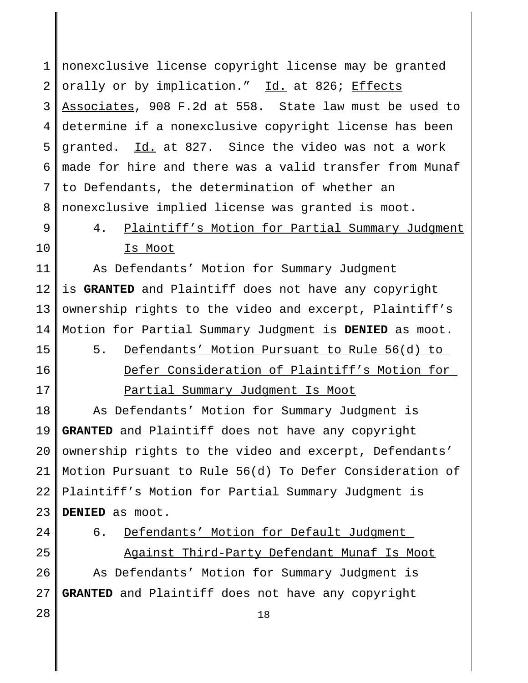1 2 3 4 5 6 7 8 nonexclusive license copyright license may be granted orally or by implication." Id. at 826; Effects Associates, 908 F.2d at 558. State law must be used to determine if a nonexclusive copyright license has been granted. Id. at 827. Since the video was not a work made for hire and there was a valid transfer from Munaf to Defendants, the determination of whether an nonexclusive implied license was granted is moot.

9 10

15

16

17

4. Plaintiff's Motion for Partial Summary Judgment Is Moot

11 12 13 14 As Defendants' Motion for Summary Judgment is **GRANTED** and Plaintiff does not have any copyright ownership rights to the video and excerpt, Plaintiff's Motion for Partial Summary Judgment is **DENIED** as moot.

5. Defendants' Motion Pursuant to Rule 56(d) to Defer Consideration of Plaintiff's Motion for Partial Summary Judgment Is Moot

18 19 20 21 22 23 As Defendants' Motion for Summary Judgment is **GRANTED** and Plaintiff does not have any copyright ownership rights to the video and excerpt, Defendants' Motion Pursuant to Rule 56(d) To Defer Consideration of Plaintiff's Motion for Partial Summary Judgment is **DENIED** as moot.

- 24
- 6. Defendants' Motion for Default Judgment

25 26 27 Against Third-Party Defendant Munaf Is Moot As Defendants' Motion for Summary Judgment is **GRANTED** and Plaintiff does not have any copyright